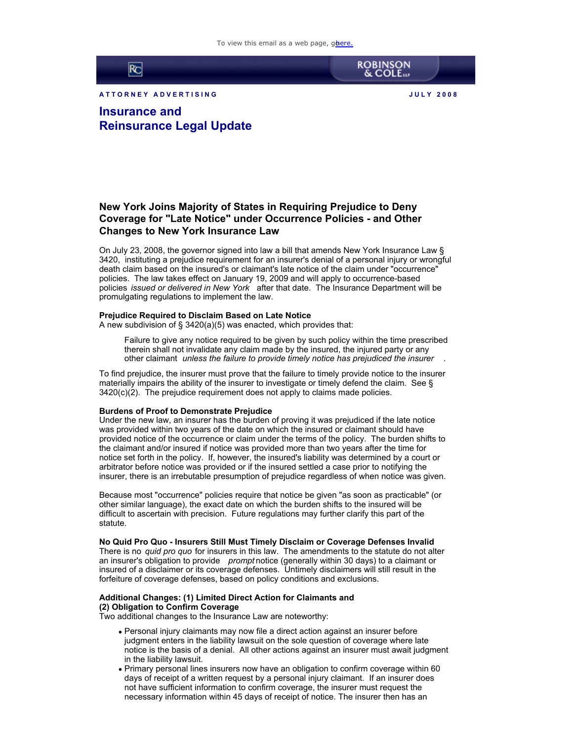

A T T ORNEY ADVERTISING **A RELATION CONTROLLER SHOW AND MELTICAL MELTICAL CONTROLLER SHOW AND MELTICAL CONTROLLER** 

**ROBINSON**<br>& COLE

**Insurance and Reinsurance Legal Update**

# **New York Joins Majority of States in Requiring Prejudice to Deny Coverage for "Late Notice" under Occurrence Policies - and Other Changes to New York Insurance Law**

On July 23, 2008, the governor signed into law a bill that amends New York Insurance Law § 3420, instituting a prejudice requirement for an insurer's denial of a personal injury or wrongful death claim based on the insured's or claimant's late notice of the claim under "occurrence" policies. The law takes effect on January 19, 2009 and will apply to occurrence-based policies *issued or delivered in New York* after that date. The Insurance Department will be promulgating regulations to implement the law.

#### **Prejudice Required to Disclaim Based on Late Notice**

A new subdivision of § 3420(a)(5) was enacted, which provides that:

Failure to give any notice required to be given by such policy within the time prescribed therein shall not invalidate any claim made by the insured, the injured party or any other claimant *unless the failure to provide timely notice has prejudiced the insurer* .

To find prejudice, the insurer must prove that the failure to timely provide notice to the insurer materially impairs the ability of the insurer to investigate or timely defend the claim. See § 3420(c)(2). The prejudice requirement does not apply to claims made policies.

#### **Burdens of Proof to Demonstrate Prejudice**

Under the new law, an insurer has the burden of proving it was prejudiced if the late notice was provided within two years of the date on which the insured or claimant should have provided notice of the occurrence or claim under the terms of the policy. The burden shifts to the claimant and/or insured if notice was provided more than two years after the time for notice set forth in the policy. If, however, the insured's liability was determined by a court or arbitrator before notice was provided or if the insured settled a case prior to notifying the insurer, there is an irrebutable presumption of prejudice regardless of when notice was given.

Because most "occurrence" policies require that notice be given "as soon as practicable" (or other similar language), the exact date on which the burden shifts to the insured will be difficult to ascertain with precision. Future regulations may further clarify this part of the statute.

### **No Quid Pro Quo - Insurers Still Must Timely Disclaim or Coverage Defenses Invalid**

There is no *quid pro quo* for insurers in this law. The amendments to the statute do not alter an insurer's obligation to provide *prompt* notice (generally within 30 days) to a claimant or insured of a disclaimer or its coverage defenses. Untimely disclaimers will still result in the forfeiture of coverage defenses, based on policy conditions and exclusions.

## **Additional Changes: (1) Limited Direct Action for Claimants and (2) Obligation to Confirm Coverage**

Two additional changes to the Insurance Law are noteworthy:

- Personal injury claimants may now file a direct action against an insurer before judgment enters in the liability lawsuit on the sole question of coverage where late notice is the basis of a denial. All other actions against an insurer must await judgment in the liability lawsuit.
- Primary personal lines insurers now have an obligation to confirm coverage within 60 days of receipt of a written request by a personal injury claimant. If an insurer does not have sufficient information to confirm coverage, the insurer must request the necessary information within 45 days of receipt of notice. The insurer then has an